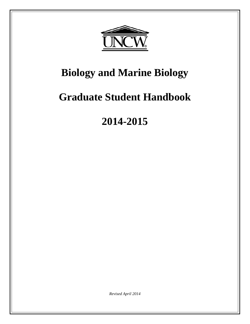

# **Biology and Marine Biology**

# **Graduate Student Handbook**

# **2014-2015**

*Revised April 2014*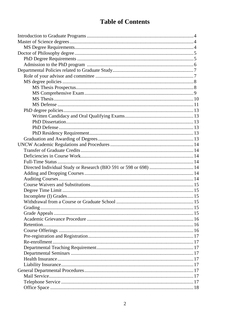# **Table of Contents**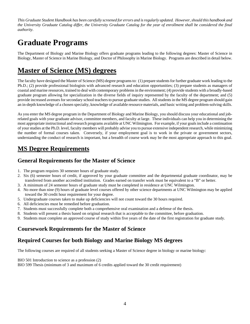*This Graduate Student Handbook has been carefully screened for errors and is regularly updated. However, should this handbook and the University Graduate Catalog differ, the University Graduate Catalog for the year of enrollment shall be considered the final authority.*

# **Graduate Programs**

The Department of Biology and Marine Biology offers graduate programs leading to the following degrees: Master of Science in Biology, Master of Science in Marine Biology, and Doctor of Philosophy in Marine Biology. Programs are described in detail below.

# **Master of Science (MS) degrees**

The faculty have designed the Master of Science (MS) degree programs to: (1) prepare students for further graduate work leading to the Ph.D.; (2) provide professional biologists with advanced research and education opportunities; (3) prepare students as managers of coastal and marine resources, trained to deal with contemporary problems in the environment; (4) provide students with a broadly-based graduate program allowing for specialization in the diverse fields of inquiry represented by the faculty of the department; and (5) provide increased avenues for secondary school teachers to pursue graduate studies. All students in the MS degree program should gain an in-depth knowledge of a chosen specialty, knowledge of available resource materials, and basic writing and problem-solving skills.

As you enter the MS degree program in the Department of Biology and Marine Biology, you should discuss your educational and jobrelated goals with your graduate advisor, committee members, and faculty at large. These individuals can help you in determining the most appropriate instructional and research programs available at UNC Wilmington. For example, if your goals include a continuation of your studies at the Ph.D. level, faculty members will probably advise you to pursue extensive independent research, while minimizing the number of formal courses taken. Conversely, if your employment goal is to work in the private or government sectors, understanding the conduct of research is important, but a breadth of course work may be the most appropriate approach to this goal.

## **MS Degree Requirements**

#### **General Requirements for the Master of Science**

- 1. The program requires 30 semester hours of graduate study.
- 2. Six (6) semester hours of credit, if approved by your graduate committee and the departmental graduate coordinator, may be transferred from another accredited institution. Grades earned on transfer work must be equivalent to a "B" or better.
- 3. A minimum of 24 semester hours of graduate study must be completed in residence at UNC Wilmington.
- 4. No more than nine (9) hours of graduate level courses offered by other science departments at UNC Wilmington may be applied toward the 30 credit hour requirement for your degree.
- 5. Undergraduate courses taken to make up deficiencies will not count toward the 30 hours required.
- 6. All deficiencies must be remedied before graduation.
- 7. Students must successfully complete both a comprehensive oral examination and a defense of the thesis.
- 8. Students will present a thesis based on original research that is acceptable to the committee, before graduation.
- 9. Students must complete an approved course of study within five years of the date of the first registration for graduate study.

#### **Coursework Requirements for the Master of Science**

#### **Required Courses for both Biology and Marine Biology MS degrees**

The following courses are required of all students seeking a Master of Science degree in biology or marine biology:

BIO 501 Introduction to science as a profession (2)

BIO 599 Thesis (minimum of 3 and maximum of 6 credits applied toward the 30 credit requirement)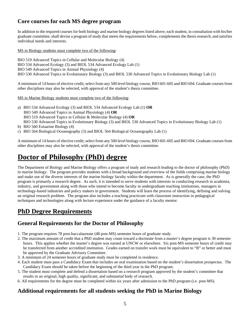#### **Core courses for each MS degree program**

In addition to the required courses for both biology and marine biology degrees listed above, each student, in consultation with his/her graduate committee, shall devise a program of study that meets the requirements below, complements the thesis research, and satisfies individual needs and interests.

MS in Biology students must complete two of the following:

BIO 519 Advanced Topics in Cellular and Molecular Biology (4) BIO 534 Advanced Ecology (3) and BIOL 534 Advanced Ecology Lab (1) BIO 549 Advanced Topics in Animal Physiology (4) BIO 530 Advanced Topics in Evolutionary Biology (3) and BIOL 530 Advanced Topics in Evolutionary Biology Lab (1)

A minimum of 14 hours of elective credit; select from any 500 level biology course, BIO 601-605 and BIO 694. Graduate courses from other disciplines may also be selected, with approval of the student's thesis committee.

MS in Marine Biology students must complete two of the following:

- a) BIO 534 Advanced Ecology (3) and BIOL 534 Advanced Ecology Lab (1) **OR**  BIO 549 Advanced Topics in Animal Physiology (4) **OR**  BIO 519 Advanced Topics in Cellular & Molecular Biology (4) **OR** BIO 530 Advanced Topics in Evolutionary Biology (3) and BIOL 530 Advanced Topics in Evolutionary Biology Lab (1) b) BIO 560 Estuarine Biology (4)
- c) BIO 564 Biological Oceanography (3) and BIOL 564 Biological Oceanography Lab (1)

A minimum of 14 hours of elective credit; select from any 500 level biology course, BIO 601-605 and BIO 694. Graduate courses from other disciplines may also be selected, with approval of the student's thesis committee.

# **Doctor of Philosophy (PhD) degree**

The Department of Biology and Marine Biology offers a program of study and research leading to the doctor of philosophy (PhD) in marine biology. The program provides students with a broad background and overview of the fields comprising marine biology and make use of the diverse interests of the marine biology faculty within the department. As is generally the case, the PhD program is primarily a research degree. As such, it is intended to serve students with interests in conducting research in academia, industry, and government along with those who intend to become faculty in undergraduate teaching institutions, managers in technology-based industries and policy makers in government. Students will learn the process of identifying, defining and solving an original research problem. The program also includes a teaching practicum with classroom instruction in pedagogical techniques and technologies along with lecture experience under the guidance of a faculty mentor.

## **PhD Degree Requirements**

#### **General Requirements for the Doctor of Philosophy**

- 1. The program requires 78 post-baccalaureate (48 post-MS) semester hours of graduate study.
- 2. The maximum amount of credit that a PhD student may count toward a doctorate from a master's degree program is 30 semester hours. This applies whether the master's degree was earned at UNCW or elsewhere. Six post-MS semester hours of credit may be transferred from another accredited institution. Grades earned on transfer work must be equivalent to "B" or better and must be approved by the Graduate Advisory Committee.
- 3. A minimum of 24 semester hours of graduate study must be completed in residence.
- 4. Each student must pass a Candidacy Exam that includes an oral examination based on the student's dissertation prospectus. The Candidacy Exam should be taken before the beginning of the third year in the PhD program.
- 5. The student must complete and defend a dissertation based on a research program approved by the student's committee that results in an original, high quality, significant, and substantial body of research.
- 6. All requirements for the degree must be completed within six years after admission to the PhD program (i.e. post-MS).

#### **Additional requirements for all students seeking the PhD in Marine Biology**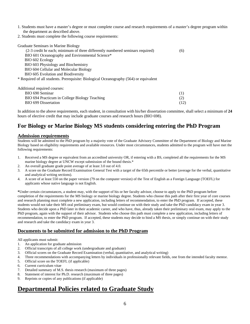- 1. Students must have a master's degree or must complete course and research requirements of a master's degree program within the department as described above.
- 2. Students must complete the following course requirements:

| Graduate Seminars in Marine Biology                                                   |  |  |  |  |  |  |
|---------------------------------------------------------------------------------------|--|--|--|--|--|--|
| (2-3 credit hr each; minimum of three differently numbered seminars required)         |  |  |  |  |  |  |
| BIO 601 Oceanography and Environmental Science*                                       |  |  |  |  |  |  |
| BIO 602 Ecology                                                                       |  |  |  |  |  |  |
| BIO 603 Physiology and Biochemistry                                                   |  |  |  |  |  |  |
| BIO 604 Cellular and Molecular Biology                                                |  |  |  |  |  |  |
| BIO 605 Evolution and Biodiversity                                                    |  |  |  |  |  |  |
| * Required of all students. Prerequisite: Biological Oceanography (564) or equivalent |  |  |  |  |  |  |
| Additional required courses:                                                          |  |  |  |  |  |  |
| BIO 690 Seminar                                                                       |  |  |  |  |  |  |

BIO 694 Practicum in College Biology Teaching (2) BIO 699 Dissertation (12)

In addition to the above requirements, each student, in consultation with his/her dissertation committee, shall select a minimum of **24** hours of elective credit that may include graduate courses and research hours (BIO 698).

#### **For Biology or Marine Biology MS students considering entering the PhD Program**

#### **Admission requirements**

Students will be admitted to the PhD program by a majority vote of the Graduate Advisory Committee of the Department of Biology and Marine Biology based on eligibility requirements and available resources. Under most circumstances, students admitted to the program will have met the following requirements:

- 1. Received a MS degree or equivalent from an accredited university OR, if entering with a BS, completed all the requirements for the MS marine biology degree at UNCW except submission of the bound thesis.\*
- 2. An overall graduate grade point average of at least 3.0 out of 4.0.
- 3. A score on the Graduate Record Examination General Test with a target of the 65th percentile or better (average for the verbal, quantitative and analytical writing sections).
- 4. A score of at least 550 on the paper version (79 on the computer version) of the Test of English as a Foreign Language (TOEFL) for applicants whose native language is not English.

**\***Under certain circumstances, a student may, with the support of his or her faculty advisor, choose to apply to the PhD program before completion of the requirements for the MS biology or marine biology degree. Students who choose this path after their first year of core courses and research planning must complete a new application, including letters of recommendation, to enter the PhD program. If accepted, these students would not take their MS oral preliminary exam, but would continue on with their study and take the PhD candidacy exam in year 3. Students who decide upon a PhD later in their academic career, and who have, thus, already taken their preliminary oral exam, may apply to the PhD program, again with the support of their advisor. Students who choose this path must complete a new application, including letters of recommendation, to enter the PhD program. If accepted, these students may decide to bind a MS thesis, or simply continue on with their study and research and take the candidacy exam in year 3.

#### **Documents to be submitted for admission to the PhD Program**

All applicants must submit:

- 1. An application for graduate admission
- 2. Official transcripts of all college work (undergraduate and graduate)
- 3. Official scores on the Graduate Record Examination (verbal, quantitative, and analytical writing)
- 4. Three recommendations with accompanying letters by individuals in professionally relevant fields, one from the intended faculty mentor.
- 5. Official score on the TOEFL (if applicable)
- 6. Current curriculum vitae<br>7. Detailed summarv of M.
- Detailed summary of M.S. thesis research (maximum of three pages)
- 8. Statement of interest for Ph.D. research (maximum of three pages)<br>9. Reprints or copies of any publications (if applicable)
- Reprints or copies of any publications (if applicable)

## **Departmental Policies related to Graduate Study**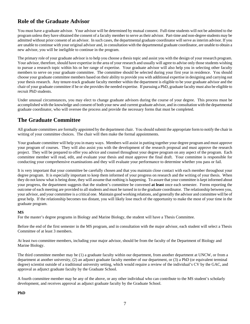#### **Role of the Graduate Advisor**

You must have a graduate advisor. Your advisor will be determined by mutual consent. Full-time students will not be admitted to the program unless they have obtained the consent of a faculty member to serve as their advisor. Part-time and non-degree students may be admitted without prior consent of an advisor. In such cases, the departmental graduate coordinator will serve as interim advisor. If you are unable to continue with your original advisor and, in consultation with the departmental graduate coordinator, are unable to obtain a new advisor, you will be ineligible to continue in the program.

The primary role of your graduate advisor is to help you choose a thesis topic and assist you with the design of your research program. Your advisor, therefore, should have expertise in the area of your research and usually will agree to advise only those students wishing to pursue a research topic within his or her range of expertise. Your graduate advisor will also help you in selecting other faculty members to serve on your graduate committee. The committee should be selected during your first year in residence. You should choose your graduate committee members based on their ability to provide you with additional expertise in designing and carrying out your thesis research. Any tenure-track graduate faculty member within the department is eligible to be your graduate advisor and the chair of your graduate committee if he or she provides the needed expertise. If pursuing a PhD, graduate faculty must also be eligible to recruit PhD students.

Under unusual circumstances, you may elect to change graduate advisors during the course of your degree. This process must be accomplished with the knowledge and consent of both your new and current graduate advisor, and in consultation with the departmental graduate coordinator, who will oversee the process and provide the necessary forms that must be completed.

#### **The Graduate Committee**

All graduate committees are formally appointed by the department chair. You should submit the appropriate form to notify the chair in writing of your committee choices. The chair will then make the formal appointments.

Your graduate committee will help you in many ways. Members will assist in putting together your degree program and must approve your program of courses. They will also assist you with the development of the research proposal and must approve the research project. They will be prepared to offer you advice and counsel throughout your degree program on any aspect of the program. Each committee member will read, edit, and evaluate your thesis and must approve the final draft. Your committee is responsible for conducting your comprehensive examinations and they will evaluate your performance to determine whether you pass or fail.

It is very important that your committee be carefully chosen and that you maintain close contact with each member throughout your degree program. It is especially important to keep them informed of your progress on research and the writing of your thesis. When they do not know what is being done, they will assume that nothing is happening. To assure that your committee is kept informed about your progress, the department suggests that the student's committee be convened **at least** once each semester. Forms reporting the outcome of each meeting are provided to all students and must be turned in to the graduate coordinator. The relationship between you, your advisor, and your committee is a critical one. Maintain good working relations, and generally the advisor and committee will be of great help. If the relationship becomes too distant, you will likely lose much of the opportunity to make the most of your time in the graduate program.

#### **MS**

For the master's degree programs in Biology and Marine Biology, the student will have a Thesis Committee.

Before the end of the first semester in the MS program, and in consultation with the major advisor, each student will select a Thesis Committee of at least 3 members.

At least two committee members, including your major advisor, should be from the faculty of the Department of Biology and Marine Biology.

The third committee member may be (1) a graduate faculty within our department, from another department at UNCW, or from a department at another university, (2) an adjunct graduate faculty member of our department, or (3) a PhD (or equivalent terminal degree) scientist outside of a traditional university setting, which would require a review of the individual's CV by the GAC, and approval as adjunct graduate faculty by the Graduate School.

A fourth committee member may be any of the above, or any other individual who can contribute to the MS student's scholarly development, and receives approval as adjunct graduate faculty by the Graduate School.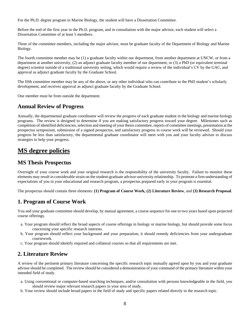For the Ph.D. degree program in Marine Biology, the student will have a Dissertation Committee.

Before the end of the first year in the Ph.D. program, and in consultation with the major advisor, each student will select a Dissertation Committee of at least 5 members.

Three of the committee members, including the major advisor, must be graduate faculty of the Department of Biology and Marine Biology.

The fourth committee member may be (1) a graduate faculty within our department, from another department at UNCW, or from a department at another university, (2) an adjunct graduate faculty member of our department, or (3) a PhD (or equivalent terminal degree) scientist outside of a traditional university setting, which would require a review of the individual's CV by the GAC, and approval as adjunct graduate faculty by the Graduate School.

The fifth committee member may be any of the above, or any other individual who can contribute to the PhD student's scholarly development, and receives approval as adjunct graduate faculty by the Graduate School.

One member must be from outside the department.

#### **Annual Review of Progress**

Annually, the departmental graduate coordinator will review the progress of each graduate student in the biology and marine biology programs. The review is designed to determine if you are making satisfactory progress toward your degree. Milestones such as completion of identified deficiencies, selection and meeting of your thesis committee, reports of committee meetings, presentation at the prospectus symposium, submission of a signed prospectus, and satisfactory progress in course work will be reviewed. Should your progress be less than satisfactory, the departmental graduate coordinator will meet with you and your faculty advisor to discuss strategies to help your progress.

## **MS degree policies**

#### **MS Thesis Prospectus**

Oversight of your course work and your original research is the responsibility of the university faculty. Failure to monitor these elements may result in considerable strain on the student-graduate advisor-university relationship. To promote a firm understanding of expectations of you in your educational and research program, a prospectus prepared early in your program is essential.

The prospectus should contain three elements: **(1) Program of Course Work, (2) Literature Review**, and **(3) Research Proposal**.

#### **1. Program of Course Work**

You and your graduate committee should develop, by mutual agreement, a course sequence for one to two years based upon projected course offerings.

- a. Your program should reflect the broad aspects of course offerings in biology or marine biology, but should provide some focus concerning your specific research interests.
- b. Your program should reflect your background and your preparation; it should remedy deficiencies from your undergraduate coursework.
- c. Your program should identify required and collateral courses so that all requirements are met.

#### **2. Literature Review**

A review of the pertinent primary literature concerning the specific research topic mutually agreed upon by you and your graduate advisor should be completed. The review should be considered a demonstration of your command of the primary literature within your intended field of study.

- a. Using conventional or computer-based searching techniques, and/or consultation with persons knowledgeable in the field, you should review major relevant research papers in your area of study.
- b. Your review should include broad papers in the field of study and specific papers related directly to the research topic.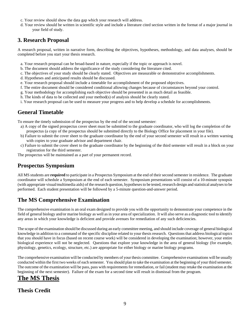- c. Your review should show the data gap which your research will address.
- d. Your review should be written in scientific style and include a literature cited section written in the format of a major journal in your field of study.

#### **3. Research Proposal**

A research proposal, written in narrative form, describing the objectives, hypotheses, methodology, and data analyses, should be completed before you start your thesis research.

- a. Your research proposal can be broad-based in nature, especially if the topic or approach is novel.
- b. The document should address the significance of the study considering the literature cited.
- c. The objectives of your study should be clearly stated. Objectives are measurable or demonstrative accomplishments.
- d. Hypotheses and anticipated results should be discussed.
- e. Your research proposal should include a timetable for accomplishment of the proposed objectives.
- f. The entire document should be considered conditional allowing changes because of circumstances beyond your control.
- g. Your methodology for accomplishing each objective should be presented in as much detail as feasible.
- h. The kinds of data to be collected and your method(s) of analysis should be clearly stated.
- i. Your research proposal can be used to measure your progress and to help develop a schedule for accomplishments.

#### **General Timetable**

To ensure the timely submission of the prospectus by the end of the second semester:

- a) A copy of the signed prospectus cover sheet must be submitted to the graduate coordinator, who will log the completion of the prospectus (a copy of the prospectus should be submitted directly to the Biology Office for placement in your file).
- b) Failure to submit the cover sheet to the graduate coordinator by the end of your second semester will result in a written warning with copies to your graduate advisor and department chair.
- c) Failure to submit the cover sheet to the graduate coordinator by the beginning of the third semester will result in a block on your registration for the third semester.
- The prospectus will be maintained as a part of your permanent record.

#### **Prospectus Symposium**

All MS students are **required** to participate in a Prospectus Symposium at the end of their second semester in residence. The graduate coordinator will schedule a Symposium at the end of each semester. Symposium presentations will consist of a 10-minute synopsis (with appropriate visual/multimedia aids) of the research question, hypotheses to be tested, research design and statistical analyses to be performed. Each student presentation will be followed by a 5-minute question-and-answer period.

## **The MS Comprehensive Examination**

The comprehensive examination is an oral exam designed to provide you with the opportunity to demonstrate your competence in the field of general biology and/or marine biology as well as in your area of specialization. It will also serve as a diagnostic tool to identify any areas in which your knowledge is deficient and provide avenues for remediation of any such deficiencies.

The scope of the examination should be discussed during an early committee meeting, and should include coverage of general biological knowledge in addition to a command of the specific discipline related to your thesis research. Questions that address biological topics that you should have in focus (based on recent course work) will be considered in developing the examination; however, your entire biological experience will not be neglected. Questions that explore your knowledge in the area of general biology (for example, physiology, genetics, ecology, structure, etc.) are appropriate for either biology or marine biology programs.

The comprehensive examination will be conducted by members of your thesis committee. Comprehensive examinations will be usually conducted within the first two weeks of each semester. You should plan to take the examination at the beginning of your third semester. The outcome of the examination will be pass, pass with requirements for remediation, or fail (student may retake the examination at the beginning of the next semester). Failure of the exam for a second time will result in dismissal from the program.

## **The MS Thesis**

#### **Thesis Credit**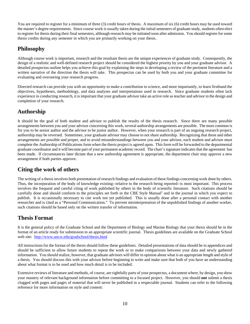You are required to register for a minimum of three (3) credit hours of thesis. A maximum of six (6) credit hours may be used toward the master's degree requirements. Since course work is usually taken during the initial semesters of graduate study, students often elect to register for thesis during their final semesters, although research may be initiated soon after admission. You should register for some thesis credits during any semester in which you are primarily working on your thesis.

#### **Philosophy**

Although course work is important, research and the resultant thesis are the unique experiences of graduate study. Consequently, the design of a realistic and well-defined research project should be considered the highest priority by you and your graduate advisor. A detailed prospectus outline helps you achieve this goal by explaining the steps in developing a review of the pertinent literature and a written narrative of the direction the thesis will take. This prospectus can be used by both you and your graduate committee for evaluating and overseeing your research progress.

Directed research can provide you with an opportunity to make a contribution to science, and more importantly, to learn firsthand the objectives, hypotheses, methodology, and data analyses and interpretations used in research. Since graduate students often lack experience in conducting research, it is important that your graduate advisor take an active role as teacher and advisor in the design and completion of your research.

#### **Authorship**

It should be the goal of both student and advisor to publish the results of the thesis research. Since there are many possible arrangements between you and your advisor concerning this work, several authorship arrangements are possible. The most common is for you to be senior author and the advisor to be junior author. However, when your research is part of an ongoing research project, authorship may be reversed. Sometimes, your graduate advisor may choose to not share authorship. Recognizing that these and other arrangements are possible and proper, and to avoid misunderstandings between you and your advisor, each student and advisor must complete the Authorship of Publications form when the thesis project is agreed upon. This form will be forwarded to the departmental graduate coordinator and it will become part of your permanent academic record. The chair's signature indicates that the agreement has been made. If circumstances later dictate that a new authorship agreement is appropriate, the department chair may approve a new arrangement if both parties approve.

#### **Citing the work of others**

The writing of a thesis involves both presentation of research findings and evaluation of these findings concerning work done by others. Thus, the incorporation of the body of knowledge existing--relative to the research being reported--is most important. This process involves the frequent and careful citing of work published by others in the body of scientific literature. Such citations should be carefully done and should conform to the principles set forth in the CBE Style Manual<sup>1</sup> and in the journal in which you expect to publish. It is occasionally necessary to cite work not yet published. This is usually done after a personal contact with another researcher and is cited as a "Personal Communication." To prevent misinterpretation of the unpublished findings of another worker, such citations should be based only on the written transfer of information.

## **Thesis Format**

It is the general policy of the Graduate School and the Department of Biology and Marine Biology that your thesis should be in the format of an article ready for submission to an appropriate scientific journal. Thesis guidelines are available on the Graduate School web site: http://www.uncw.edu/gradschool/thesis.html

All instructions for the format of the thesis should follow these guidelines. Detailed presentations of data should be in appendices and should be sufficient to allow future students to repeat the work or to make comparisons between your data and newly gathered information. You should realize, however, that graduate advisors will differ in opinion about what is an appropriate length and style of a thesis. You should discuss this with your advisor before beginning to write and make sure that both of you have an understanding about what format is to be used and how much detail is to be included.

Extensive reviews of literature and methods, of course, are rightfully parts of your prospectus, a document where, by design, you show your mastery of relevant background information before committing to a focused project. However, you should **not** submit a thesis clogged with pages and pages of material that will never be published in a respectable journal. Students can refer to the following reference for more information on style and content: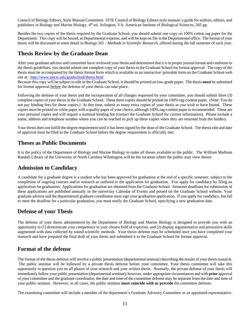Council of Biology Editors, Style Manual Committee. 1978. Council of Biology Editors style manual: a guide for authors, editors, and publishers in Biology and Marine Biology.  $4<sup>th</sup>$  ed. Arlington, VA: American Institute of Biological Sciences, 265 pp.

Besides the two copies of the thesis required by the Graduate School, you should submit one copy on 100% cotton rag paper for the Department. This copy will be bound, at Departmental expense, and will be kept on file in the Departmental office. The format of your thesis will be discussed in some detail in *Biology 501 - Methods in Scientific Research*, offered during the fall semester of each year.

#### **Thesis Review by the Graduate Dean**

After your graduate advisor and committee have reviewed your thesis and determined that it is in proper journal format and conforms to the thesis guidelines, you should submit one complete copy of your thesis to the Graduate School for format approval. The copy of the thesis must be accompanied by the thesis format form which is available as an interactive/ printable form on the Graduate School web site at: http://www.uncw.edu/gradschool/thesis.html

Because this copy will be subject to edit in the Graduate School, it should be printed on low-grade paper. The thesis **must** be submitted for format approval before the defense of your thesis can take place.

Following the defense of your thesis and the incorporation of all changes requested by your committee, you should submit three (3) complete copies of your thesis to the Graduate School. These three copies should be printed on 100% rag-content paper. (Note: You do not pay binding fees for these copies.) At this time, submit as many extra copies of your thesis as you wish to have bound. These copies must be printed on white paper with a quality paper of your choice, although 100% rag-content paper is recommended. These are your personal copies and will require a nominal binding fee (contact the Graduate School for current information). Please include a name, address and telephone number where you can be reached to pick up these copies when they are returned from the bindery.

Your thesis does not fulfill the degree requirement until it has been signed by the dean of the Graduate School. The thesis title and date of approval must be filed in the Graduate School before the degree requirement is officially met.

#### **Theses as Public Documents**

It is the policy of the Department of Biology and Marine Biology to make all theses available to the public. The William Madison Randall Library of the University of North Carolina Wilmington will be the location where the public may view theses.

#### **Admission to Candidacy**

A candidate for a graduate degree is a student who has been approved for graduation at the end of a specific semester, subject to the completion of ongoing courses and/or research as outlined in the application for graduation. You apply for candidacy by filing an application for graduation. Applications for graduation are obtained from the Graduate School. Semester deadlines for submission of these applications are published annually in the university Calendar of Events and posted on the Graduate School website. Your graduate advisor and the departmental graduate coordinator must sign your graduation application. If you apply for candidacy, but fail to meet the deadline for a particular graduation, you must notify the Graduate School, specifying a new graduation date.

#### **Defense of your Thesis**

The defense of your thesis administered by the Department of Biology and Marine Biology is designed to provide you with an opportunity to (1) demonstrate your competence in your chosen field of expertise, and (2) display argumentative and persuasive skills augmented with data collected by sound scientific methods. Your thesis defense may be scheduled once you have completed your research and have prepared the final draft of your thesis and submitted it to the Graduate School for format approval.

#### **Format of the defense**

The format of the thesis defense will involve a public presentation (departmental seminar) describing the results of your thesis research. The public seminar will be followed by a private thesis defense before your committee. Your thesis committee will take this opportunity to question you on all phases of your research and your written thesis. Normally, the private defense of your thesis will immediately follow your public presentation (departmental seminar); however, under appropriate circumstances and with **prior** approval of your committee and the graduate coordinator, the date and time of the committee defense may be separate from the date and time of your public seminar. However, in all cases, the public seminar **must coincide with or precede** the committee defense.

The examining committee will include a member of the department's Graduate Advisory Committee or an appointed representative.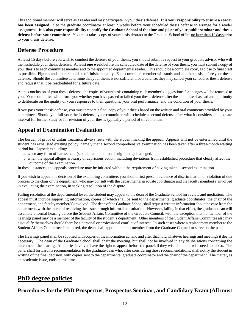This additional member will serve as a reader and may participate in your thesis defense. **It is your responsibility to ensure a reader has been assigned**.See the graduate coordinator at least 2 weeks before your scheduled thesis defense to arrange for a reader assignment. **It is also your responsibility to notify the Graduate School of the time and place of your public seminar and thesis defense before your committee**.You must take a copy of your thesis abstract to the Graduate School office no later than 10 days prior to your thesis defense.

#### **Defense Procedure**

At least 15 days before you wish to conduct the defense of your thesis, you should submit a request to your graduate advisor who will then schedule your thesis defense. At least **one week** before the scheduled date of the defense of your thesis, you must submit a copy of your thesis to each committee member and to the appointed departmental reader. This should be a complete copy, as close to final draft as possible. Figures and tables should be of finished quality. Each committee member will study and edit the thesis before your thesis defense. Should the committee determine that your thesis is not sufficient for a defense, they may cancel your scheduled thesis defense and request that it be rescheduled for a future date.

At the conclusion of your thesis defense, the copies of your thesis containing each member's suggestions for changes will be returned to you. Your committee will inform you whether you have passed or failed your thesis defense after the committee has had an opportunity to deliberate on the quality of your responses to their questions, your oral performance, and the condition of your thesis.

If you pass your thesis defense, you must prepare a final copy of your thesis based on the written and oral comments provided by your committee. Should you fail your thesis defense, your committee will schedule a second defense after what it considers an adequate interval for further study or for revision of your thesis, typically a period of three months.

## **Appeal of Examination Evaluation**

The burden of proof of unfair treatment always rests with the student making the appeal. Appeals will not be entertained until the student has exhausted existing policy, namely that a second comprehensive examination has been taken after a three-month waiting period has elapsed; excluding:

- a. when any form of harassment (sexual, racial, national origin, etc.) is alleged.
- b. when the appeal alleges arbitrary or capricious action, including deviations from established procedure that clearly affect the outcome of the examination.

In these instances, the appeals procedure may be initiated without the requirement of having taken a second examination.

If you wish to appeal the decision of the examining committee, you should first present evidence of discrimination or violation of due process to the chair of the department, who may consult with the departmental graduate coordinator and the faculty member(s) involved in evaluating the examination, in seeking resolution of the dispute.

Failing resolution at the departmental level, the student may appeal to the dean of the Graduate School for review and mediation. The appeal must include supporting information, copies of which shall be sent to the departmental graduate coordinator, the chair of the department, and faculty member(s) involved. The dean of the Graduate School shall request written information about the case from the department, with the intent of resolving the issue through informal consultation. However, failing in that effort, the graduate dean will assemble a formal hearing before the Student Affairs Committee of the Graduate Council, with the exception that no member of the hearings panel may be a member of the faculty of the student's department. Other members of the Student Affairs Committee also may disqualify themselves should there be a personal or professional conflict of interest. In such cases where a replacement member to the Student Affairs Committee is required, the dean shall appoint another member from the Graduate Council to serve on the panel.

The Hearings panel shall be supplied with copies of the information at hand and after that hold whatever hearings and meetings it deems necessary. The dean of the Graduate School shall chair the meeting, but shall not be involved in any deliberations concerning the outcome of the hearing. All parties involved have the right to appear before the panel, if they wish, but otherwise need not do so. The panel shall forward its recommendation to the graduate dean who, after considering those recommendations, shall notify the student in writing of the final decision, with copies sent to the departmental graduate coordinator and the chair of the department. The matter, as an academic issue, ends at this time.

## **PhD degree policies**

#### **Procedures for the PhD Prospectus, Prospectus Seminar, and Candidacy Exam (All must**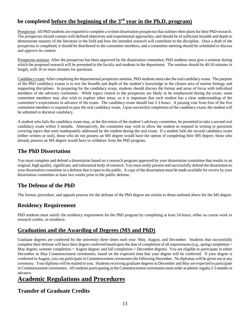## **be completed before the beginning of the 3rd year in the Ph.D. program)**

Prospectus: All PhD students are required to complete a written dissertation prospectus that outlines their plans for their PhD research. The prospectus should contain well-defined objectives and experimental approaches, and should be of sufficient breadth and depth to demonstrate mastery of the literature in the field and how the intended research will contribute to the discipline. Once a draft of the prospectus is completed, it should be distributed to the committee members, and a committee meeting should be scheduled to discuss and approve its content.

Prospectus seminar: After the prospectus has been approved by the dissertation committee, PhD students must give a seminar during which the proposed research will be presented to the faculty and students in the department. The seminar should be 40-50 minutes in length, with 10 or more minutes for questions.

Candidacy exam: After completing the departmental prospectus seminar, PhD students must take the oral candidacy exam. The purpose of the PhD candidacy exams is to test the breadth and depth of the student's knowledge in the chosen area of marine biology and supporting disciplines. In preparing for the candidacy exam, students should discuss the format and areas of focus with individual members of the advisory committee. While topics central to the prospectus are likely to be emphasized during the exam, some committee members may also wish to explore other areas, so it is important that each student has a clear understanding of the committee's expectations in advance of the exam. The candidacy exam should last 2-3 hours. A passing vote from four of the five committee members is required to pass the oral candidacy exam. Upon successful completion of the candidacy exam, the student will be admitted to doctoral candidacy.

A student who fails the candidacy exam may, at the discretion of the student's advisory committee, be permitted to take a second oral candidacy exam within 3 months. Alternatively, the committee may wish to allow the student to respond in writing to questions covering topics that were inadequately addressed by the student during the oral exam. If a student fails the second candidacy exam (either written or oral), those who do not possess an MS degree would have the option of completing their MS degree; those who already possess an MS degree would have to withdraw from the PhD program.

#### **The PhD Dissertation**

You must complete and defend a dissertation based on a research program approved by your dissertation committee that results in an original, high quality, significant, and substantial body of research. You must orally present and successfully defend the dissertation to your dissertation committee in a defense that is open to the public. A copy of the dissertation must be made available for review by your dissertation committee at least two weeks prior to the public defense.

## **The Defense of the PhD**

The format, procedure, and appeals process for the defense of the PhD degree are similar to those outlined above for the MS degree.

## **Residency Requirement**

PhD students must satisfy the residency requirement for the PhD program by completing at least 24 hours, either as course work or research credits, in residence.

#### **Graduation and the Awarding of Degrees (MS and PhD)**

Graduate degrees are conferred by the university three times each year: May, August, and December. Students that successfully complete their defense will have their degree conferred based upon the date of completion of all requirements (e.g., spring completion = May degree; summer completion = August degree; and fall completion = December degree). You are eligible to participate in either December or May Commencement ceremonies, based on the expected time that your degree will be conferred. If your degree is conferred in August, you can participate in Commencement ceremonies the following December. No diplomas will be given out at any ceremony. Your diploma will be mailed to you. Students receiving graduate degrees in December and May are expected to participate in Commencement ceremonies. All students participating in the Commencement ceremonies must order academic regalia 2-3 months in advance.

## **Academic Regulations and Procedures**

#### **Transfer of Graduate Credits**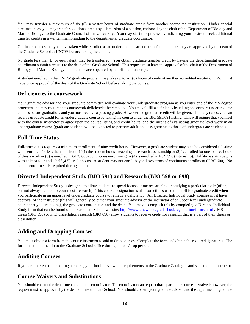You may transfer a maximum of six (6) semester hours of graduate credit from another accredited institution. Under special circumstances, you may transfer additional credit by submission of a petition, endorsed by the chair of the Department of Biology and Marine Biology, to the Graduate Council of the University. You may start this process by indicating your desire to seek additional transfer credits in a written memorandum to the departmental graduate coordinator.

Graduate courses that you have taken while enrolled as an undergraduate are not transferable unless they are approved by the dean of the Graduate School at UNCW **before** taking the course.

No grade less than B, or equivalent, may be transferred. You obtain graduate transfer credit by having the departmental graduate coordinator submit a request to the dean of the Graduate School. This request must have the approval of the chair of the Department of Biology and Marine Biology and must be accompanied by an official transcript.

A student enrolled in the UNCW graduate program may take up to six (6) hours of credit at another accredited institution. You must have prior approval of the dean of the Graduate School **before** taking the course.

#### **Deficiencies in coursework**

Your graduate advisor and your graduate committee will evaluate your undergraduate program as you enter one of the MS degree programs and may require that coursework deficiencies be remedied. You may fulfill a deficiency by taking one or more undergraduate courses before graduation, and you must receive a passing grade. However, no graduate credit will be given. In many cases, you can receive graduate credit for an undergraduate course by taking the course under the BIO 591/691 listing. This will require that you meet with the course instructor to agree upon the course listing and credit hours, and the means of evaluating graduate level work in an undergraduate course (graduate students will be expected to perform additional assignments to those of undergraduate students).

#### **Full-Time Status**

Full-time status requires a minimum enrollment of nine credit hours. However, a graduate student may also be considered full-time when enrolled for less than nine hours if (1) the student holds a teaching or research assistantship or (2) is enrolled for one to three hours of thesis work or (3) is enrolled in GRC 600 (continuous enrollment) or (4) is enrolled in PSY 598 (Internship). Half-time status begins with at least four and a half (4.5) credit hours. A student may not enroll beyond two terms of continuous enrollment (GRC 600). No course enrollment is required during summer.

#### **Directed Independent Study (BIO 591) and Research (BIO 598 or 698)**

Directed Independent Study is designed to allow students to spend focused time researching or studying a particular topic (often, but not always related to your thesis research). This course designation is also sometimes used to enroll for graduate credit when you participate in an upper level undergraduate course to remedy a deficiency. All Directed Individual Study courses must have approval of the instructor (this will generally be either your graduate advisor or the instructor of an upper level undergraduate course that you are taking), the graduate coordinator, and the dean. You may accomplish this by completing a Directed Individual Study form that can be found on the Graduate School website: http://www.uncw.edu/gradschool/registration/forms.html . MS thesis (BIO 598) or PhD dissertation research (BIO 698) allow students to receive credit for research that is a part of their thesis or dissertation.

#### **Adding and Dropping Courses**

You must obtain a form from the course instructor to add or drop courses. Complete the form and obtain the required signatures. The form must be turned in to the Graduate School office during the add/drop period.

#### **Auditing Courses**

If you are interested in auditing a course, you should review the requirements in the Graduate Catalogue and speak to the instructor.

#### **Course Waivers and Substitutions**

You should consult the departmental graduate coordinator. The coordinator can request that a particular course be waived; however, the request must be approved by the dean of the Graduate School. You should consult your graduate advisor and the departmental graduate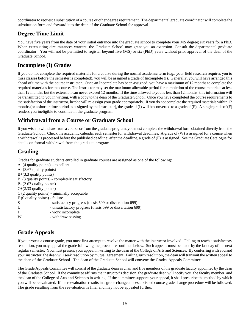coordinator to request a substitution of a course or other degree requirement. The departmental graduate coordinator will complete the substitution form and forward it to the dean of the Graduate School for approval.

#### **Degree Time Limit**

You have five years from the date of your initial entrance into the graduate school to complete your MS degree; six years for a PhD. When extenuating circumstances warrant, the Graduate School may grant you an extension. Consult the departmental graduate coordinator. You will not be permitted to register beyond five (MS) or six (PhD) years without prior approval of the dean of the Graduate School.

#### **Incomplete (I) Grades**

If you do not complete the required materials for a course during the normal academic term (e.g., your field research requires you to miss classes before the semester is completed), you will be assigned a grade of Incomplete (I). Generally, you will have arranged this ahead of time with the course instructor. Once an Incomplete has been assigned, you have a maximum of 12 months to complete the required materials for the course. The instructor may set the maximum allowable period for completion of the course materials at less than 12 months, but the extension can never exceed 12 months. If the time allowed to you is less than 12 months, this information will be transmitted to you in writing, with a copy to the dean of the Graduate School. Once you have completed the course requirements to the satisfaction of the instructor, he/she will re-assign your grade appropriately. If you do not complete the required materials within 12 months (or a shorter time period as assigned by the instructor), the grade of (I) will be converted to a grade of (F). A single grade of (F) renders you ineligible to continue in the graduate program.

#### **Withdrawal from a Course or Graduate School**

If you wish to withdraw from a course or from the graduate program, you must complete the withdrawal form obtained directly from the Graduate School. Check the academic calendar each semester for withdrawal deadlines. A grade of (W) is assigned for a course when a withdrawal is processed before the published deadline; after the deadline, a grade of (F) is assigned. See the Graduate Catalogue for details on formal withdrawal from the graduate program.

#### **Grading**

Grades for graduate students enrolled in graduate courses are assigned as one of the following:

- A (4 quality points) excellent A- (3.67 quality points)  $B+(3.3)$  quality points) B (3 quality points) - completely satisfactory B- (2.67 quality points) C+(2.33 quality points) C (2 quality points) - minimally acceptable F (0 quality points) - failure S - satisfactory progress (thesis 599 or dissertation 699) U - unsatisfactory progress (thesis 599 or dissertation 699) I - work incomplete
- W withdraw passing

## **Grade Appeals**

If you protest a course grade, you must first attempt to resolve the matter with the instructor involved. Failing to reach a satisfactory resolution, you may appeal the grade following the procedures outlined below. Such appeals must be made by the last day of the next regular semester. You must present your appeal in writing to the dean of the College of Arts and Sciences. By conferring with you and your instructor, the dean will seek resolution by mutual agreement. Failing such resolution, the dean will transmit the written appeal to the dean of the Graduate School. The dean of the Graduate School will convene the Grades Appeals Committee.

The Grade Appeals Committee will consist of the graduate dean as chair and five members of the graduate faculty appointed by the dean of the Graduate School. If the committee affirms the instructor's decision, the graduate dean will notify you, the faculty member, and the dean of the College of Arts and Sciences in writing. If the committee supports your appeal, it shall prescribe the method by which you will be reevaluated. If the reevaluation results in a grade change, the established course grade change procedure will be followed. The grade resulting from the reevaluation is final and may not be appealed further.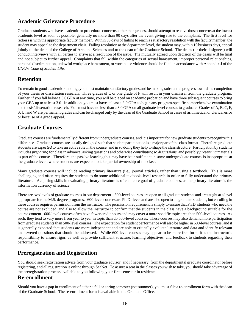## **Academic Grievance Procedure**

Graduate students who have academic or procedural concerns, other than grades, should attempt to resolve those concerns at the lowest academic level as soon as possible, generally no more than 90 days after the event giving rise to the complaint. The first level for redress is with the appropriate faculty member. Within 30 days of failing to reach a satisfactory resolution with the faculty member, the student may appeal to the department chair. Failing resolution at the department level, the student may, within 10 business days, appeal jointly to the dean of the College of Arts and Sciences and to the dean of the Graduate School. The deans (or their designees) will conduct interviews with all parties to arrive at a resolution of the issue. The mutually agreed upon decision of the deans will be final and not subject to further appeal. Complaints that fall within the categories of sexual harassment, improper personal relationships, personal discrimination, unlawful workplace harassment, or workplace violence should be filed in accordance with Appendix J of the *UNCW Code of Student Life*.

#### **Retention**

To remain in good academic standing, you must maintain satisfactory grades and be making substantial progress toward the completion of your thesis or dissertation research. Three grades of C or one grade of F will result in your dismissal from the graduate program. Further, if you fall below a 3.0 GPA at any time, you will be placed on academic probation and have three subsequent courses to bring your GPA up to at least 3.0. In addition, you must have at least a 3.0 GPA to begin any program-specific comprehensive examination and thesis/dissertation research. You must have no less than a 3.0 GPA on all graduate-level courses to graduate. Grades of A, B, C, F, S, U, and W are permanent grades and can be changed only by the dean of the Graduate School in cases of arithmetical or clerical error or because of a grade appeal.

#### **Graduate Courses**

Graduate courses are fundamentally different from undergraduate courses, and it is important for new graduate students to recognize this difference. Graduate courses are usually designed such that student participation is a major part of the class format. Therefore, graduate students are *expected* to take an active role in the course, and in so doing they help to shape the class structure. Participation by students includes *preparing* for class in advance, asking questions and otherwise *contributing to discussions*, and possibly *presenting* materials as part of the course. Therefore, the passive learning that may have been sufficient in some undergraduate courses is inappropriate at the graduate level, where students are expected to take partial ownership of the class.

Many graduate courses will include reading primary literature (i.e., journal articles), rather than using a textbook. This is more challenging and often requires the students to do some additional textbook–level research in order to fully understand the primary literature. Acquiring skills in evaluating primary literature is often a core goal of graduate courses, as the primary literature is the information currency of science.

There are two levels of graduate courses in our department. 500-level courses are open to all graduate students and are taught at a level appropriate for the M.S. degree programs. 600-level courses are Ph.D.-level and are also open to all graduate students, but enrolling in these courses requires permission from the instructor. The permission requirement is simply to ensure that Ph.D. students who need the course are not excluded, and also to allow the instructor to confirm that the students in the class have a background suitable for the course content. 600-level courses often have fewer credit hours and may cover a more specific topic area than 500-level courses. As such, they tend to vary more from year to year in topic than do 500-level courses. These courses may also demand more participation from graduate students than 500-level courses. The expectation for student performance will also be higher in 600-level courses, and it is generally expected that students are more independent and are able to critically evaluate literature and data and identify relevant unanswered questions that should be addressed. While 600-level courses may appear to be more free-form, it is the instructor's responsibility to ensure rigor, as well as provide sufficient structure, learning objectives, and feedback to students regarding their performance.

#### **Preregistration and Registration**

You should seek registration advice from your graduate advisor, and if necessary, from the departmental graduate coordinator before registering, and all registration is online through SeaNet. To assure a seat in the classes you wish to take, you should take advantage of the preregistration process available to you following your first semester in residence.

#### **Re-enrollment**

Should you have a gap in enrollment of either a fall or spring semester (not summer), you must file a re-enrollment form with the dean of the Graduate School. The re-enrollment form is available in the Graduate Office.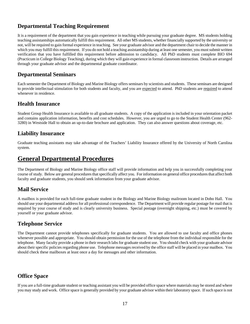#### **Departmental Teaching Requirement**

It is a requirement of the department that you gain experience in teaching while pursuing your graduate degree. MS students holding teaching assistantships automatically fulfill this requirement. All other MS students, whether financially supported by the university or not, will be required to gain formal experience in teaching. See your graduate advisor and the department chair to decide the manner in which you may fulfill this requirement. If you do not hold a teaching assistantship during at least one semester, you must submit written verification that you have fulfilled this requirement before admission to candidacy. All PhD students must complete BIO 694 (Practicum in College Biology Teaching), during which they will gain experience in formal classroom instruction. Details are arranged through your graduate advisor and the departmental graduate coordinator.

#### **Departmental Seminars**

Each semester the Department of Biology and Marine Biology offers seminars by scientists and students. These seminars are designed to provide intellectual stimulation for both students and faculty, and you are expected to attend. PhD students are required to attend whenever in residence.

#### **Health Insurance**

Student Group Health Insurance is available to all graduate students. A copy of the application is included in your orientation packet and contains application information, benefits and cost schedules. However, you are urged to go to the Student Health Center (962- 3280) in Westside Hall to obtain an up-to-date brochure and application. They can also answer questions about coverage, etc.

#### **Liability Insurance**

Graduate teaching assistants may take advantage of the Teachers' Liability Insurance offered by the University of North Carolina system.

#### **General Departmental Procedures**

The Department of Biology and Marine Biology office staff will provide information and help you in successfully completing your course of study. Below are general procedures that specifically affect you. For information on general office procedures that affect both faculty and graduate students, you should seek information from your graduate advisor.

#### **Mail Service**

A mailbox is provided for each full-time graduate student in the Biology and Marine Biology mailroom located in Dobo Hall. You should use your departmental address for all professional correspondence. The Department will provide regular postage for mail that is required by your course of study and is clearly university business. Special postage (overnight shipping, etc.) must be covered by yourself or your graduate advisor.

#### **Telephone Service**

The Department cannot provide telephones specifically for graduate students. You are allowed to use faculty and office phones whenever possible and appropriate. You should obtain permission for the use of the telephone from the individual responsible for the telephone. Many faculty provide a phone in their research labs for graduate student use. You should check with your graduate advisor about their specific policies regarding phone use. Telephone messages received by the office staff will be placed in your mailbox. You should check these mailboxes at least once a day for messages and other information.

#### **Office Space**

If you are a full-time graduate student or teaching assistant you will be provided office space where materials may be stored and where you may study and work. Office space is generally provided by your graduate advisor within their laboratory space. If such space is not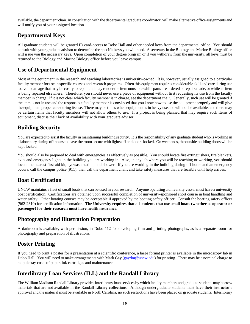available, the department chair, in consultation with the departmental graduate coordinator, will make alternative office assignments and will notify you of your assigned location.

#### **Departmental Keys**

All graduate students will be granted ID card-access to Dobo Hall and other needed keys from the departmental office. You should consult with your graduate advisor to determine the specific keys you will need. A secretary in the Biology and Marine Biology office will issue you the necessary keys. Upon completion of your degree program or if you withdraw from the university, all keys must be returned to the Biology and Marine Biology office before you leave campus.

#### **Use of Departmental Equipment**

Most of the equipment in the research and teaching laboratories is university-owned. It is, however, usually assigned to a particular faculty member for use in specific courses and research programs. Often this equipment requires considerable skill and care during use to avoid damage that may be costly to repair and may render the item unusable while parts are ordered or repairs made, or while an item is being repaired elsewhere. Therefore, you should never use a piece of equipment without first requesting its use from the faculty member in charge. If it is not clear which faculty member is in charge, see the department chair. Generally, such use will be granted if the item is not in use and the responsible faculty member is convinced that you know how to use the equipment properly and will give the equipment proper care during its use. There may be times when equipment is in heavy use and will not be available, and there may be certain items that faculty members will not allow others to use. If a project is being planned that may require such items of equipment, discuss their lack of availability with your graduate advisor.

#### **Building Security**

You are expected to assist the faculty in maintaining building security. It is the responsibility of any graduate student who is working in a laboratory during off hours to leave the room secure with lights off and doors locked. On weekends, the outside building doors will be kept locked.

You should also be prepared to deal with emergencies as effectively as possible. You should locate fire extinguishers, fire blankets, exits and emergency lights in the building you are working in. Also, in any lab where you will be teaching or working, you should locate the nearest first aid kit, eyewash station, and shower. If you are working in the building during off hours and an emergency occurs, call the campus police (911), then call the department chair, and take safety measures that are feasible until help arrives.

#### **Boat Certification**

UNCW maintains a fleet of small boats that can be used in your research. Anyone operating a university vessel must have a university boat certification. Certifications are obtained upon successful completion of university-sponsored short course in boat handling and water safety. Other boating courses may be acceptable if approved by the boating safety officer. Consult the boating safety officer (962-2310) for certification information. **The University requires that all students that use small boats (whether as operator or passenger) for their research must have health insurance.** 

#### **Photography and Illustration Preparation**

A darkroom is available, with permission, in Dobo 112 for developing film and printing photographs, as is a separate room for photography and preparation of illustrations.

#### **Poster Printing**

If you need to print a poster for a presentation at a scientific conference, a large format printer is available in the microscopy lab in Dobo Hall. You will need to make arrangements with Mark Gay (gaydm@uncw.edu) for printing. There may be a nominal charge to help defray costs of paper, ink cartridges and maintenance.

#### **Interlibrary Loan Services (ILL) and the Randall Library**

The William Madison Randall Library provides interlibrary loan services by which faculty members and graduate students may borrow materials that are not available in the Randall Library collections. Although undergraduate students must have their instructor's approval and the material must be available in North Carolina, no such restrictions have been placed on graduate students. Interlibrary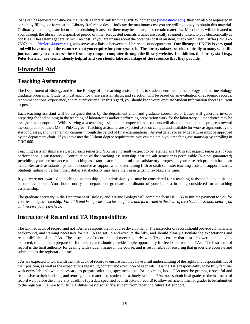loans can be requested on-line via the Randall Library link from the UNCW homepage (www.uncw.edu), they can also be requested in person by filling out forms at the Library Reference desk. Indicate the maximum cost you are willing to pay to obtain this material. Ordinarily, no charges are incurred in obtaining loans, but there may be a charge for certain materials. Most books will be loaned to you, through the library, for a specified period of time. Requested journals articles are usually scanned and sent to you electronically as pdf files. These items generally incur no cost. If you are unsure about the potential cost of an item, check with Peter Fritzler (Ph: 962- 7807; email fritzlerp@uncw.edu), who serves as a liaison between the library and our department. **Our library at UNCW is very good and will have many of the resources that you require for your research. The library subscribes electronically to many scientific journals and you can access these from any campus computer through the library website. In addition, the library staff (e.g., Peter Fritzler) are tremendously helpful and you should take advantage of the resource that they provide.**

## **Financial Aid**

#### **Teaching Assistantships**

The Department of Biology and Marine Biology offers teaching assistantships to students enrolled in the biology and marine biology graduate programs. Students must apply for these assistantships, and selection will be based on an evaluation of academic records, recommendations, experience, and relevant criteria. In this regard, you should keep your Graduate Student Information sheet as current as possible.

Each teaching assistant will be assigned duties by the department chair and graduate coordinator. Duties will generally involve preparing for and helping in the teaching of laboratories and/or performing preparation work for the laboratory. Other duties may be assigned as appropriate. While serving as a teaching assistant, it is expected that students will also continue to make progress toward the completion of their MS or PhD degree. Teaching assistants are expected to be on campus and available for work assignments by the start of classes, and to remain on campus through the period of final examinations. Arrival delays or early departures must be approved by the department chair. If you have met the 30-hour degree requirement, you can maintain your teaching assistantship by enrolling in GRC 600.

Teaching assistantships are awarded each semester. You may normally expect to be retained as a TA in subsequent semesters if your performance is satisfactory. Continuation of the teaching assistantship past the 4th semester is permissible (but not guaranteed) **providing** your performance as a teaching assistant is acceptable **and** that satisfactory progress in your research program has been made. Research assistantships will be counted as support when determining fifth or sixth semester teaching assistant support awards. Students failing to perform their duties satisfactorily may have their assistantship revoked any time.

If you were not awarded a teaching assistantship upon admission, you may be considered for a teaching assistantship as positions become available. You should notify the department graduate coordinator of your interest in being considered for a teaching assistantship.

The graduate secretary in the Department of Biology and Marine Biology will complete form HR 1.35 to initiate payment to you for your teaching assistantship. *Valid I-9 and W-4 forms must be completed and forwarded to the dean of the Graduate School before you will receive your paycheck.*

#### **Instructor of Record and TA Responsibilities**

The lab instructor of record, and not TAs, are responsible for course development. The instructor of record should provide all materials, background, and training necessary for the TAs to set up and execute the labs, and should clearly articulate the expectations and responsibilities of the TAs. The instructor of record should meet regularly with TAs to ensure that past labs were conducted as expected, to help them prepare for future labs, and should provide ample opportunity for feedback from the TAs. The instructor of record is the final authority for dealing with student issues in the course, and is responsible for ensuring that grades are accurate and submitted to the registrar on time.

TAs are expected to work with the instructor of record to ensure that they have a full understanding of the rights and responsibilities of their position, as well as the expectations regarding content and execution of each lab. It is the TA's responsibility to be fully familiar with every lab and, when necessary, to prepare solutions, specimens, etc. for upcoming labs. TAs must be prompt, respectful and responsive to their students, and return graded material to students in a timely fashion. TAs must submit final grades to the instructor of record well before the university deadline (by a date specified by instructor of record) to allow sufficient time for grades to be submitted to the registrar. Failure to fulfill TA duties may disqualify a student from receiving future TA support.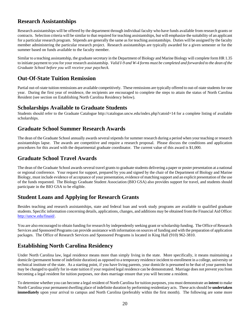#### **Research Assistantships**

Research assistantships will be offered by the department through individual faculty who have funds available from research grants or contracts. Selection criteria will be similar to that required for teaching assistantships, but will emphasize the suitability of an applicant for a particular research program. Stipends are generally the same as for teaching assistantships. Duties will be assigned by the faculty member administering the particular research project. Research assistantships are typically awarded for a given semester or for the summer based on funds available to the faculty member.

Similar to a teaching assistantship, the graduate secretary in the Department of Biology and Marine Biology will complete form HR 1.35 to initiate payment to you for your research assistantship. *Valid I-9 and W-4 forms must be completed and forwarded to the dean of the Graduate School before you will receive your paycheck.*

#### **Out-Of-State Tuition Remission**

Partial out-of-state tuition remissions are available competitively. These remissions are typically offered to out-of-state students for one year. During the first year of residence, the recipients are encouraged to complete the steps to attain the status of North Carolina Resident (see section on Establishing North Carolina Residency below).

#### **Scholarships Available to Graduate Students**

Students should refer to the Graduate Catalogue http://catalogue.uncw.edu/index.php?catoid=14 for a complete listing of available scholarships.

#### **Graduate School Summer Research Awards**

The dean of the Graduate School annually awards several stipends for summer research during a period when your teaching or research assistantships lapse. The awards are competitive and require a research proposal. Please discuss the conditions and application procedures for this award with the departmental graduate coordinator. The current value of this award is \$1,000.

#### **Graduate School Travel Awards**

The dean of the Graduate School awards several travel grants to graduate students delivering a paper or poster presentation at a national or regional conference. Your request for support, prepared by you and signed by the chair of the Department of Biology and Marine Biology, must include evidence of acceptance of your presentation, evidence of matching support and an explicit presentation of the use of the funds requested. The Biology Graduate Student Association (BIO GSA) also provides support for travel, and students should participate in the BIO GSA to be eligible.

#### **Student Loans and Applying for Research Grants**

Besides teaching and research assistantships, state and federal loan and work study programs are available to qualified graduate students. Specific information concerning details, applications, changes, and additions may be obtained from the Financial Aid Office: http://uncw.edu/finaid/.

You are also encouraged to obtain funding for research by independently seeking grant or scholarship funding. The Office of Research Services and Sponsored Programs can provide assistance with information on sources of funding and with the preparation of application packages. The Office of Research Services and Sponsored Programs is located in King Hall (910) 962-3810.

#### **Establishing North Carolina Residency**

Under North Carolina law, legal residence means more than simply living in the state. More specifically, it means maintaining a domicile (permanent home of indefinite duration) as opposed to a temporary residence incident to enrollment in a college, university or technical institute of the state. As a starting point, if you have living parents, your domicile is presumed to be that of your parents but may be changed to qualify for in-state tuition if your required legal residence can be demonstrated. Marriage does not prevent you from becoming a legal resident for tuition purposes, nor does marriage ensure that you will become a resident.

To determine whether you can become a legal resident of North Carolina for tuition purposes, you must demonstrate an **intent** to make North Carolina your permanent dwelling place of indefinite duration by performing residentiary acts. These acts should be **undertaken immediately** upon your arrival to campus and North Carolina (preferably within the first month). The following are some more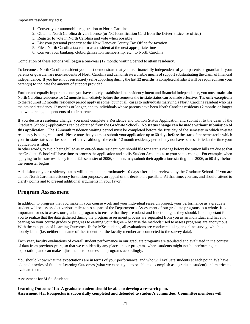important residentiary acts:

- 1. Convert your automobile registration to North Carolina
- 2. Obtain a North Carolina drivers license (or NC Identification Card from the Driver's License office)
- 3. Register to vote in North Carolina and vote when possible
- 4. List your personal property at the New Hanover County Tax Office for taxation
- 5. File a North Carolina tax return as a resident at the next appropriate time
- 6. Convert your banking, club/organization membership, etc., to North Carolina

Completion of these actions will **begin** a one-year (12 month) waiting period to attain residency.

To become a North Carolina resident you must demonstrate that you are financially independent of your parents or guardian if your parents or guardian are non-residents of North Carolina and demonstrate a visible means of support substantiating the claim of financial independence. If you have not been entirely self-supporting during the last **12 months**, a completed affidavit will be required from your parent(s) to indicate the amount of support provided.

Further and equally important, once you have clearly established the residency intent and financial independence, you must **maintain** North Carolina residence for **12 months** immediately before the semester the in-state status can be made effective. The **only exceptions** to the required 12 months residency period apply in some, but not all, cases to individuals marrying a North Carolina resident who has maintained residency 12 months or longer, and to individuals whose parents have been North Carolina residents 12 months or longer and who are legal dependents of their parents.

If you desire a residence change, you must complete a Residence and Tuition Status Application and submit it to the dean of the Graduate School (Applications can be obtained from the Graduate School). **No status change can be made without submission of this application**. The 12-month residency waiting period must be completed before the first day of the semester in which in-state residency is being requested. Please note that you must submit your application up to 60 days **before** the start of the semester in which your in-state status can be become effective although the entire 12 month residency period may not have been satisfied at the time your application is filed.

In other words, to avoid being billed as an out-of-state resident, you should file for a status change before the tuition bills are due so that the Graduate School will have time to process the application and notify Student Accounts as to your status change. For example, when applying for in-state residency for the fall semester of 2006, students may submit their applications starting June 2006, or 60 days before the semester begins.

A decision on your residency status will be mailed approximately 10 days after being reviewed by the Graduate School. If you are denied North Carolina residency for tuition purposes, an appeal of the decision is possible. At that time, you can, and should, attend to clarify points and to present additional arguments in your favor.

#### **Program Assessment**

In addition to progress that you make in your course work and your individual research project, your performance as a graduate student will be assessed at various milestones as part of the Department's Assessment of our graduate programs as a whole. It is important for us to assess our graduate programs to ensure that they are robust and functioning as they should. It is important for you to realize that the data gathered during the program assessment process are separated from you as an individual and have no bearing on your course grades or progress to earning your degree – because the methods used to assess programs are anonymous. With the exception of Learning Outcomes 1b for MSc students, all evaluations are conducted using an online survey, which is doubly-blind (i.e. neither the name of the student nor the faculty member are connected to the survey data).

Each year, faculty evaluations of overall student performance in our graduate programs are tabulated and evaluated in the context of data from previous years, so that we can identify any places in our programs where students might not be performing at expectation, and can make adjustments to courses and programs accordingly.

You should know what the expectations are in terms of your performance, and who will evaluate students at each point. We have adopted a series of Student Learning Outcomes (what we expect you to be able to accomplish as a graduate student) and metrics to evaluate them.

#### Assessment for M.Sc. Students:

**Learning Outcome #1a: A graduate student should be able to develop a research plan. Assessment #1a: Prospectus is successfully completed and defended to student's committee. Committee members will**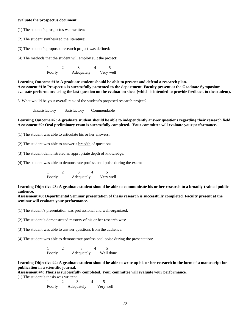#### **evaluate the prospectus document.**

- (1) The student's prospectus was written:
- (2) The student synthesized the literature:
- (3) The student's proposed research project was defined:

(4) The methods that the student will employ suit the project:

1 2 3 4 5 Poorly Adequately Very well

Learning Outcome #1b: A graduate student should be able to present and defend a research plan. **Assessment #1b: Prospectus is successfully presented to the department. Faculty present at the Graduate Symposium evaluate performance using the last question on the evaluation sheet (which is intended to provide feedback to the student).** 

5. What would be your overall rank of the student's proposed research project?

Unsatisfactory Satisfactory Commendable

Learning Outcome #2: A graduate student should be able to independently answer questions regarding their research field. **Assessment #2: Oral preliminary exam is successfully completed. Your committee will evaluate your performance.** 

(1) The student was able to articulate his or her answers:

(2) The student was able to answer a breadth of questions:

(3) The student demonstrated an appropriate depth of knowledge:

(4) The student was able to demonstrate professional poise during the exam:

1 2 3 4 5 Poorly Adequately Very well

**Learning Objective #3: A graduate student should be able to communicate his or her research to a broadly-trained public audience.** 

**Assessment #3: Departmental Seminar presentation of thesis research is successfully completed. Faculty present at the seminar will evaluate your performance.** 

(1) The student's presentation was professional and well-organized:

(2) The student's demonstrated mastery of his or her research was:

(3) The student was able to answer questions from the audience:

(4) The student was able to demonstrate professional poise during the presentation:

1 2 3 4 5 Poorly Adequately Well done

**Learning Objective #4: A graduate student should be able to write up his or her research in the form of a manuscript for publication in a scientific journal.** 

**Assessment #4: Thesis is successfully completed. Your committee will evaluate your performance.** 

(1) The student's thesis was written:

1 2 3 4 5 Poorly Adequately Very well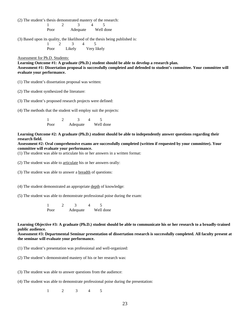(2) The student's thesis demonstrated mastery of the research:

1 2 3 4 5 Poor Adequate Well done

(3) Based upon its quality, the likelihood of the thesis being published is:

1 2 3 4 5 Poor Likely Very likely

Assessment for Ph.D. Students:

**Learning Outcome #1: A graduate (Ph.D.) student should be able to develop a research plan. Assessment #1: Dissertation proposal is successfully completed and defended to student's committee. Your committee will evaluate your performance.** 

(1) The student's dissertation proposal was written:

(2) The student synthesized the literature:

(3) The student's proposed research projects were defined:

(4) The methods that the student will employ suit the projects:

1 2 3 4 5 Poor Adequate Well done

**Learning Outcome #2: A graduate (Ph.D.) student should be able to independently answer questions regarding their research field.** 

**Assessment #2: Oral comprehensive exams are successfully completed (written if requested by your committee). Your committee will evaluate your performance.** 

(1) The student was able to articulate his or her answers in a written format:

(2) The student was able to articulate his or her answers orally:

(3) The student was able to answer a breadth of questions:

(4) The student demonstrated an appropriate depth of knowledge:

(5) The student was able to demonstrate professional poise during the exam:

1 2 3 4 5 Poor Adequate Well done

**Learning Objective #3: A graduate (Ph.D.) student should be able to communicate his or her research to a broadly-trained public audience.** 

**Assessment #3: Departmental Seminar presentation of dissertation research is successfully completed. All faculty present at the seminar will evaluate your performance.** 

(1) The student's presentation was professional and well-organized:

(2) The student's demonstrated mastery of his or her research was:

(3) The student was able to answer questions from the audience:

(4) The student was able to demonstrate professional poise during the presentation:

1 2 3 4 5